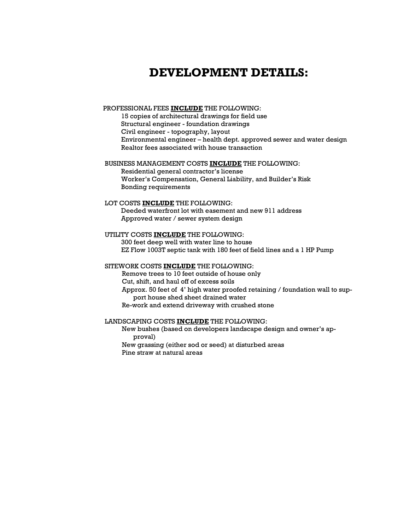# DEVELOPMENT DETAILS:

## PROFESSIONAL FEES INCLUDE THE FOLLOWING:

15 copies of architectural drawings for field use Structural engineer - foundation drawings Civil engineer - topography, layout Environmental engineer – health dept. approved sewer and water design Realtor fees associated with house transaction

### BUSINESS MANAGEMENT COSTS INCLUDE THE FOLLOWING:

Residential general contractor's license Worker's Compensation, General Liability, and Builder's Risk Bonding requirements

# LOT COSTS INCLUDE THE FOLLOWING:

Deeded waterfront lot with easement and new 911 address Approved water / sewer system design

# UTILITY COSTS INCLUDE THE FOLLOWING:

300 feet deep well with water line to house EZ Flow 1003T septic tank with 180 feet of field lines and a 1 HP Pump

#### SITEWORK COSTS INCLUDE THE FOLLOWING:

Remove trees to 10 feet outside of house only Cut, shift, and haul off of excess soils Approx. 50 feet of 4' high water proofed retaining / foundation wall to support house shed sheet drained water Re-work and extend driveway with crushed stone

## LANDSCAPING COSTS **INCLUDE** THE FOLLOWING:

New bushes (based on developers landscape design and owner's approval) New grassing (either sod or seed) at disturbed areas Pine straw at natural areas